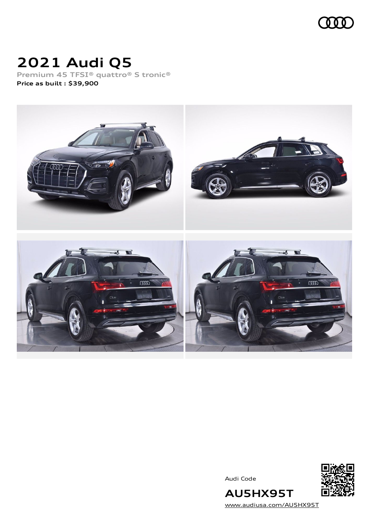

## **2021 Audi Q5**

**Premium 45 TFSI® quattro® S tronic® Price as built [:](#page-10-0) \$39,900**



Audi Code



[www.audiusa.com/AU5HX95T](https://www.audiusa.com/AU5HX95T)

**AU5HX95T**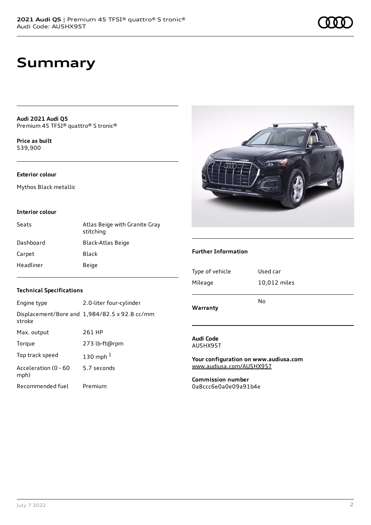## **Summary**

**Audi 2021 Audi Q5** Premium 45 TFSI® quattro® S tronic®

**Price as buil[t](#page-10-0)** \$39,900

#### **Exterior colour**

Mythos Black metallic

#### **Interior colour**

| Seats     | Atlas Beige with Granite Gray<br>stitching |
|-----------|--------------------------------------------|
| Dashboard | <b>Black-Atlas Beige</b>                   |
| Carpet    | Black                                      |
| Headliner | Beige                                      |



#### **Further Information**

| Type of vehicle | Used car     |
|-----------------|--------------|
| Mileage         | 10,012 miles |
|                 | No           |
| Warranty        |              |

### **Audi Code**

AU5HX95T

**Your configuration on www.audiusa.com** [www.audiusa.com/AU5HX95T](https://www.audiusa.com/AU5HX95T)

**Commission number** 0a8ccc6e0a0e09a91b4e

#### **Technical Specifications**

| Engine type                  | 2.0-liter four-cylinder                       |
|------------------------------|-----------------------------------------------|
| stroke                       | Displacement/Bore and 1,984/82.5 x 92.8 cc/mm |
| Max. output                  | 261 HP                                        |
| Torque                       | 273 lb-ft@rpm                                 |
| Top track speed              | 130 mph $1$                                   |
| Acceleration (0 - 60<br>mph) | 5.7 seconds                                   |
| Recommended fuel             | Premium                                       |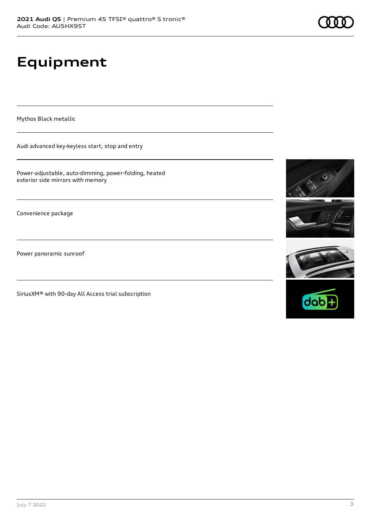# **Equipment**

Mythos Black metallic

Audi advanced key-keyless start, stop and entry

Power-adjustable, auto-dimming, power-folding, heated exterior side mirrors with memory

Convenience package

Power panoramic sunroof

SiriusXM® with 90-day All Access trial subscription









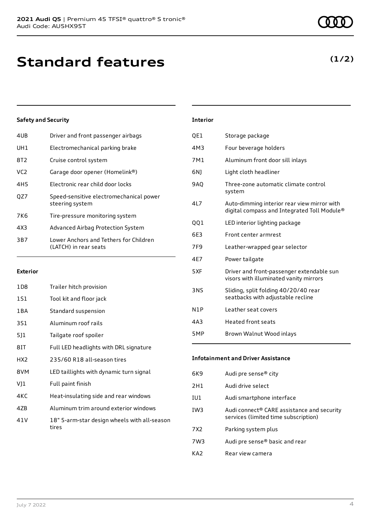| 4UB             | Driver and front passenger airbags                              |
|-----------------|-----------------------------------------------------------------|
| UH1             | Electromechanical parking brake                                 |
| 8T2             | Cruise control system                                           |
| VC <sub>2</sub> | Garage door opener (Homelink®)                                  |
| 4H <sub>5</sub> | Electronic rear child door locks                                |
| OZ7             | Speed-sensitive electromechanical power<br>steering system      |
| 7K6             | Tire-pressure monitoring system                                 |
| 4X3             | Advanced Airbag Protection System                               |
| 3B7             | Lower Anchors and Tethers for Children<br>(LATCH) in rear seats |
|                 |                                                                 |

#### **Exterior**

| 1D8             | Trailer hitch provision                               |
|-----------------|-------------------------------------------------------|
| 1S1             | Tool kit and floor jack                               |
| 1 B A           | Standard suspension                                   |
| 3S1             | Aluminum roof rails                                   |
| 511             | Tailgate roof spoiler                                 |
| 8IT             | Full LED headlights with DRL signature                |
| HX <sub>2</sub> | 235/60 R18 all-season tires                           |
| 8VM             | LED taillights with dynamic turn signal               |
| VJ1             | Full paint finish                                     |
| 4KC             | Heat-insulating side and rear windows                 |
| 47B             | Aluminum trim around exterior windows                 |
| 41 V            | 18" 5-arm-star design wheels with all-season<br>tires |

### **Interior**

| QE1        | Storage package                                                                            |
|------------|--------------------------------------------------------------------------------------------|
| 4M3        | Four beverage holders                                                                      |
| 7M1        | Aluminum front door sill inlays                                                            |
| 6N)        | Light cloth headliner                                                                      |
| <b>9AO</b> | Three-zone automatic climate control<br>system                                             |
| 4L7        | Auto-dimming interior rear view mirror with<br>digital compass and Integrated Toll Module® |
| QQ1        | LED interior lighting package                                                              |
| 6E3        | Front center armrest                                                                       |
| 7F9        | Leather-wrapped gear selector                                                              |
| 4E7        | Power tailgate                                                                             |
| 5XF        | Driver and front-passenger extendable sun<br>visors with illuminated vanity mirrors        |
| 3NS        | Sliding, split folding 40/20/40 rear<br>seatbacks with adjustable recline                  |
| N1P        | Leather seat covers                                                                        |
| 4A3        | <b>Heated front seats</b>                                                                  |
| 5MP        | Brown Walnut Wood inlays                                                                   |

### **Infotainment and Driver Assistance**

| 6K9             | Audi pre sense® city                                                               |
|-----------------|------------------------------------------------------------------------------------|
| 2H1             | Audi drive select                                                                  |
| IU1             | Audi smartphone interface                                                          |
| IW3             | Audi connect® CARE assistance and security<br>services (limited time subscription) |
| 7X <sub>2</sub> | Parking system plus                                                                |
| 7W3             | Audi pre sense® basic and rear                                                     |
| KA7             | Rear view camera                                                                   |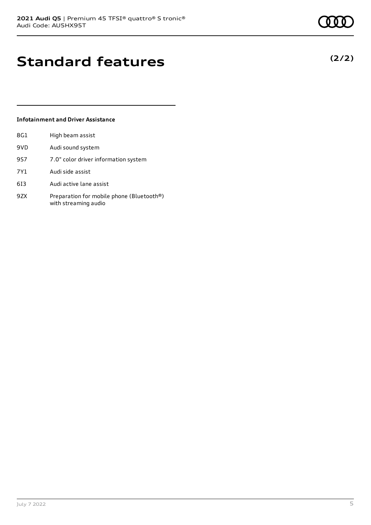**(2/2)**

## **Standard features**

#### **Infotainment and Driver Assistance**

| 8G1 | High beam assist                                                  |
|-----|-------------------------------------------------------------------|
| 9VD | Audi sound system                                                 |
| 9S7 | 7.0" color driver information system                              |
| 7Y1 | Audi side assist                                                  |
| 613 | Audi active lane assist                                           |
| 9ZX | Preparation for mobile phone (Bluetooth®)<br>with streaming audio |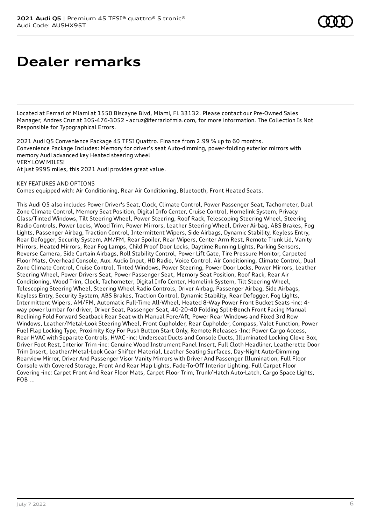### **Dealer remarks**

Located at Ferrari of Miami at 1550 Biscayne Blvd, Miami, FL 33132. Please contact our Pre-Owned Sales Manager, Andres Cruz at 305-476-3052 - acruz@ferrariofmia.com, for more information. The Collection Is Not Responsible for Typographical Errors.

2021 Audi Q5 Convenience Package 45 TFSI Quattro. Finance from 2.99 % up to 60 months. Convenience Package Includes: Memory for driver's seat Auto-dimming, power-folding exterior mirrors with memory Audi advanced key Heated steering wheel VERY LOW MILES!

At just 9995 miles, this 2021 Audi provides great value.

#### KEY FEATURES AND OPTIONS

Comes equipped with: Air Conditioning, Rear Air Conditioning, Bluetooth, Front Heated Seats.

This Audi Q5 also includes Power Driver's Seat, Clock, Climate Control, Power Passenger Seat, Tachometer, Dual Zone Climate Control, Memory Seat Position, Digital Info Center, Cruise Control, Homelink System, Privacy Glass/Tinted Windows, Tilt Steering Wheel, Power Steering, Roof Rack, Telescoping Steering Wheel, Steering Radio Controls, Power Locks, Wood Trim, Power Mirrors, Leather Steering Wheel, Driver Airbag, ABS Brakes, Fog Lights, Passenger Airbag, Traction Control, Intermittent Wipers, Side Airbags, Dynamic Stability, Keyless Entry, Rear Defogger, Security System, AM/FM, Rear Spoiler, Rear Wipers, Center Arm Rest, Remote Trunk Lid, Vanity Mirrors, Heated Mirrors, Rear Fog Lamps, Child Proof Door Locks, Daytime Running Lights, Parking Sensors, Reverse Camera, Side Curtain Airbags, Roll Stability Control, Power Lift Gate, Tire Pressure Monitor, Carpeted Floor Mats, Overhead Console, Aux. Audio Input, HD Radio, Voice Control. Air Conditioning, Climate Control, Dual Zone Climate Control, Cruise Control, Tinted Windows, Power Steering, Power Door Locks, Power Mirrors, Leather Steering Wheel, Power Drivers Seat, Power Passenger Seat, Memory Seat Position, Roof Rack, Rear Air Conditioning, Wood Trim, Clock, Tachometer, Digital Info Center, Homelink System, Tilt Steering Wheel, Telescoping Steering Wheel, Steering Wheel Radio Controls, Driver Airbag, Passenger Airbag, Side Airbags, Keyless Entry, Security System, ABS Brakes, Traction Control, Dynamic Stability, Rear Defogger, Fog Lights, Intermittent Wipers, AM/FM, Automatic Full-Time All-Wheel, Heated 8-Way Power Front Bucket Seats -inc: 4 way power lumbar for driver, Driver Seat, Passenger Seat, 40-20-40 Folding Split-Bench Front Facing Manual Reclining Fold Forward Seatback Rear Seat with Manual Fore/Aft, Power Rear Windows and Fixed 3rd Row Windows, Leather/Metal-Look Steering Wheel, Front Cupholder, Rear Cupholder, Compass, Valet Function, Power Fuel Flap Locking Type, Proximity Key For Push Button Start Only, Remote Releases -Inc: Power Cargo Access, Rear HVAC with Separate Controls, HVAC -inc: Underseat Ducts and Console Ducts, Illuminated Locking Glove Box, Driver Foot Rest, Interior Trim -inc: Genuine Wood Instrument Panel Insert, Full Cloth Headliner, Leatherette Door Trim Insert, Leather/Metal-Look Gear Shifter Material, Leather Seating Surfaces, Day-Night Auto-Dimming Rearview Mirror, Driver And Passenger Visor Vanity Mirrors with Driver And Passenger Illumination, Full Floor Console with Covered Storage, Front And Rear Map Lights, Fade-To-Off Interior Lighting, Full Carpet Floor Covering -inc: Carpet Front And Rear Floor Mats, Carpet Floor Trim, Trunk/Hatch Auto-Latch, Cargo Space Lights, FOB ...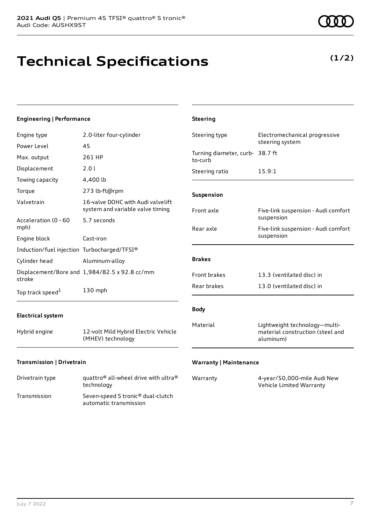# **Technical Specifications**

**(1/2)**

| <b>Engineering   Performance</b>            |                                                                       | <b>Steering</b>                            |                                                                                |
|---------------------------------------------|-----------------------------------------------------------------------|--------------------------------------------|--------------------------------------------------------------------------------|
| Engine type                                 | 2.0-liter four-cylinder                                               | Steering type                              | Electromechanical progressive<br>steering system                               |
| Power Level                                 | 45                                                                    |                                            |                                                                                |
| Max. output                                 | 261 HP                                                                | Turning diameter, curb- 38.7 ft<br>to-curb |                                                                                |
| Displacement                                | 2.0 l                                                                 | Steering ratio                             | 15.9:1                                                                         |
| Towing capacity                             | 4,400 lb                                                              |                                            |                                                                                |
| Torque                                      | 273 lb-ft@rpm                                                         | Suspension                                 |                                                                                |
| Valvetrain                                  | 16-valve DOHC with Audi valvelift<br>system and variable valve timing | Front axle                                 | Five-link suspension - Audi comfort                                            |
| Acceleration (0 - 60<br>mph)                | 5.7 seconds                                                           | Rear axle                                  | suspension<br>Five-link suspension - Audi comfort                              |
| Engine block                                | Cast-iron                                                             |                                            | suspension                                                                     |
| Induction/fuel injection Turbocharged/TFSI® |                                                                       |                                            |                                                                                |
| Cylinder head                               | Aluminum-alloy                                                        | <b>Brakes</b>                              |                                                                                |
| stroke                                      | Displacement/Bore and 1,984/82.5 x 92.8 cc/mm                         | Front brakes                               | 13.3 (ventilated disc) in                                                      |
| Top track speed <sup>1</sup>                | 130 mph                                                               | Rear brakes                                | 13.0 (ventilated disc) in                                                      |
| <b>Electrical system</b>                    |                                                                       | <b>Body</b>                                |                                                                                |
| Hybrid engine                               | 12-volt Mild Hybrid Electric Vehicle<br>(MHEV) technology             | Material                                   | Lightweight technology-multi-<br>material construction (steel and<br>aluminum) |
| Transmission   Drivetrain                   |                                                                       | <b>Warranty   Maintenance</b>              |                                                                                |

| Drivetrain type | quattro <sup>®</sup> all-wheel drive with ultra <sup>®</sup><br>technology |
|-----------------|----------------------------------------------------------------------------|
| Transmission    | Seven-speed S tronic <sup>®</sup> dual-clutch<br>automatic transmission    |

| Warranty | 4-year/50,000-mile Audi New |
|----------|-----------------------------|
|          | Vehicle Limited Warranty    |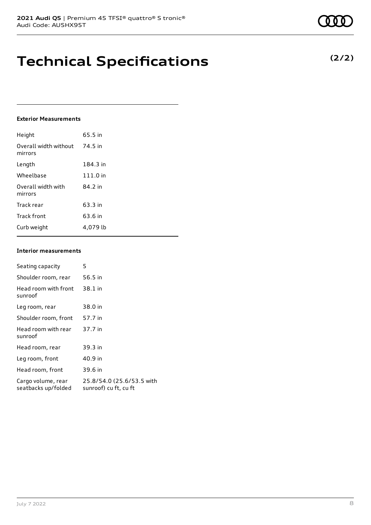### **Technical Specifications**

#### **Exterior Measurements**

| Height                           | 65.5 in  |
|----------------------------------|----------|
| Overall width without<br>mirrors | 74.5 in  |
| Length                           | 184.3 in |
| Wheelbase                        | 111.0 in |
| Overall width with<br>mirrors    | 84.2 in  |
| Track rear                       | 63.3 in  |
| Track front                      | 63.6 in  |
| Curb weight                      | 4.079 lb |

#### **Interior measurements**

| Seating capacity                          | 5                                                  |
|-------------------------------------------|----------------------------------------------------|
| Shoulder room, rear                       | 56.5 in                                            |
| Head room with front<br>sunroof           | 38.1 in                                            |
| Leg room, rear                            | 38.0 in                                            |
| Shoulder room, front                      | 57.7 in                                            |
| Head room with rear<br>sunroof            | 37.7 in                                            |
| Head room, rear                           | 39.3 in                                            |
| Leg room, front                           | 40.9 in                                            |
| Head room, front                          | 39.6 in                                            |
| Cargo volume, rear<br>seatbacks up/folded | 25.8/54.0 (25.6/53.5 with<br>sunroof) cu ft, cu ft |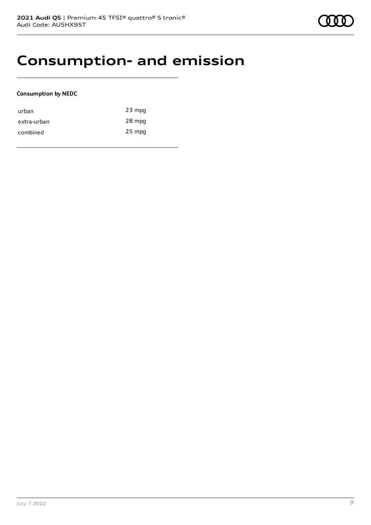### **Consumption- and emission**

### **Consumption by NEDC**

| urban       | $23$ mpg |
|-------------|----------|
| extra-urban | 28 mpg   |
| combined    | $25$ mpg |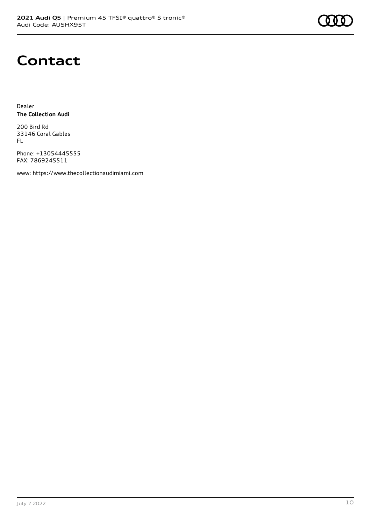

### **Contact**

Dealer **The Collection Audi**

200 Bird Rd 33146 Coral Gables FL

Phone: +13054445555 FAX: 7869245511

www: [https://www.thecollectionaudimiami.com](https://www.thecollectionaudimiami.com/)